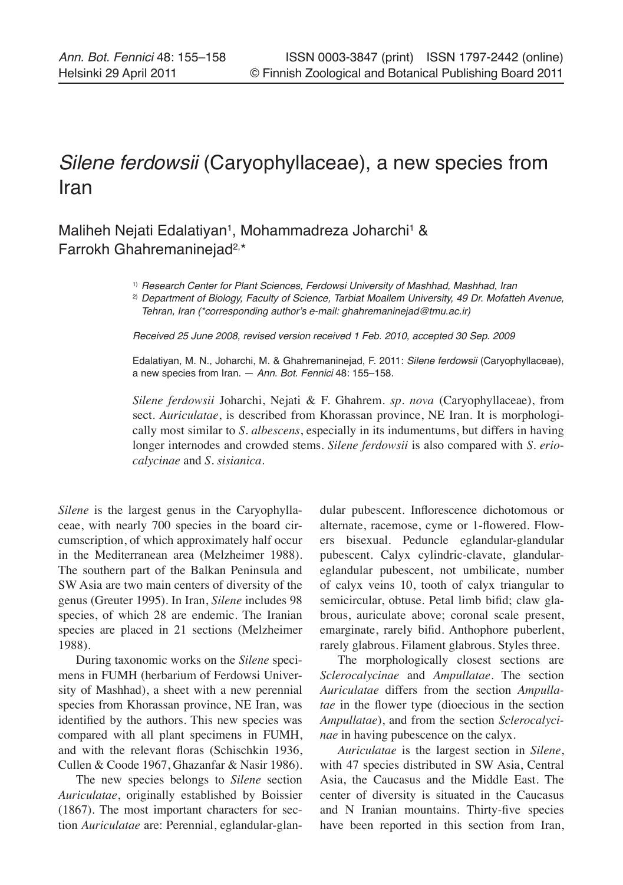## Silene ferdowsii (Caryophyllaceae), a new species from Iran

Maliheh Nejati Edalatiyan<sup>1</sup>, Mohammadreza Joharchi<sup>1</sup> & Farrokh Ghahremaninejad2,\*

<sup>1)</sup> Research Center for Plant Sciences, Ferdowsi University of Mashhad, Mashhad, Iran

<sup>2)</sup> Department of Biology, Faculty of Science, Tarbiat Moallem University, 49 Dr. Mofatteh Avenue, Tehran, Iran (\*corresponding author's e-mail: ghahremaninejad@tmu.ac.ir)

Received 25 June 2008, revised version received 1 Feb. 2010, accepted 30 Sep. 2009

Edalatiyan, M. N., Joharchi, M. & Ghahremaninejad, F. 2011: Silene ferdowsii (Caryophyllaceae), a new species from Iran. — Ann. Bot. Fennici 48: 155–158.

*Silene ferdowsii* Joharchi, Nejati & F. Ghahrem. *sp. nova* (Caryophyllaceae), from sect. *Auriculatae*, is described from Khorassan province, NE Iran. It is morphologically most similar to *S. albescens*, especially in its indumentums, but differs in having longer internodes and crowded stems. *Silene ferdowsii* is also compared with *S. eriocalycinae* and *S. sisianica*.

*Silene* is the largest genus in the Caryophyllaceae, with nearly 700 species in the board circumscription, of which approximately half occur in the Mediterranean area (Melzheimer 1988). The southern part of the Balkan Peninsula and SW Asia are two main centers of diversity of the genus (Greuter 1995). In Iran, *Silene* includes 98 species, of which 28 are endemic. The Iranian species are placed in 21 sections (Melzheimer 1988).

During taxonomic works on the *Silene* specimens in FUMH (herbarium of Ferdowsi University of Mashhad), a sheet with a new perennial species from Khorassan province, NE Iran, was identified by the authors. This new species was compared with all plant specimens in FUMH, and with the relevant floras (Schischkin 1936, Cullen & Coode 1967, Ghazanfar & Nasir 1986).

The new species belongs to *Silene* section *Auriculatae*, originally established by Boissier (1867). The most important characters for section *Auriculatae* are: Perennial, eglandular-glandular pubescent. Inflorescence dichotomous or alternate, racemose, cyme or 1-flowered. Flowers bisexual. Peduncle eglandular-glandular pubescent. Calyx cylindric-clavate, glandulareglandular pubescent, not umbilicate, number of calyx veins 10, tooth of calyx triangular to semicircular, obtuse. Petal limb bifid; claw glabrous, auriculate above; coronal scale present, emarginate, rarely bifid. Anthophore puberlent, rarely glabrous. Filament glabrous. Styles three.

The morphologically closest sections are *Sclerocalycinae* and *Ampullatae*. The section *Auriculatae* differs from the section *Ampullatae* in the flower type (dioecious in the section *Ampullatae*), and from the section *Sclerocalycinae* in having pubescence on the calyx.

*Auriculatae* is the largest section in *Silene*, with 47 species distributed in SW Asia, Central Asia, the Caucasus and the Middle East. The center of diversity is situated in the Caucasus and N Iranian mountains. Thirty-five species have been reported in this section from Iran,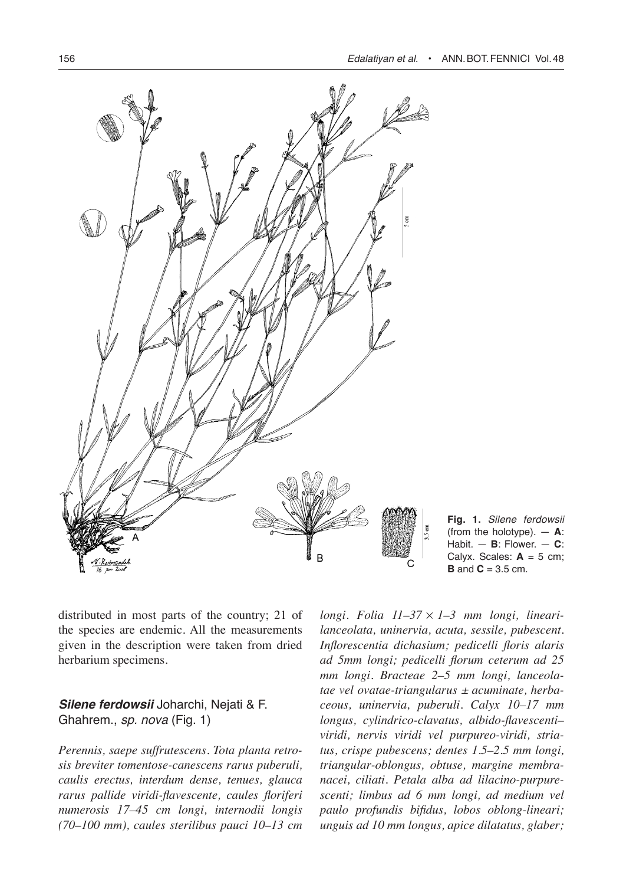

**Fig. 1.** Silene ferdowsii (from the holotype). — **A**: Habit. — **B**: Flower. — **C**: Calyx. Scales:  $A = 5$  cm; **B** and **C** = 3.5 cm.

distributed in most parts of the country; 21 of the species are endemic. All the measurements given in the description were taken from dried herbarium specimens.

## **Silene ferdowsii** Joharchi, Nejati & F. Ghahrem., sp. nova (Fig. 1)

*Perennis, saepe suffrutescens. Tota planta retrosis breviter tomentose-canescens rarus puberuli, caulis erectus, interdum dense, tenues, glauca rarus pallide viridi-flavescente, caules floriferi numerosis 17–45 cm longi, internodii longis (70–100 mm), caules sterilibus pauci 10–13 cm* 

*longi. Folia 11–37* ¥ *1–3 mm longi, linearilanceolata, uninervia, acuta, sessile, pubescent. Inflorescentia dichasium; pedicelli floris alaris ad 5mm longi; pedicelli florum ceterum ad 25 mm longi. Bracteae 2–5 mm longi, lanceolatae vel ovatae-triangularus ± acuminate, herbaceous, uninervia, puberuli. Calyx 10–17 mm longus, cylindrico-clavatus, albido-flavescenti– viridi, nervis viridi vel purpureo-viridi, striatus, crispe pubescens; dentes 1.5–2.5 mm longi, triangular-oblongus, obtuse, margine membranacei, ciliati. Petala alba ad lilacino-purpurescenti; limbus ad 6 mm longi, ad medium vel paulo profundis bifidus, lobos oblong-lineari; unguis ad 10 mm longus, apice dilatatus, glaber;*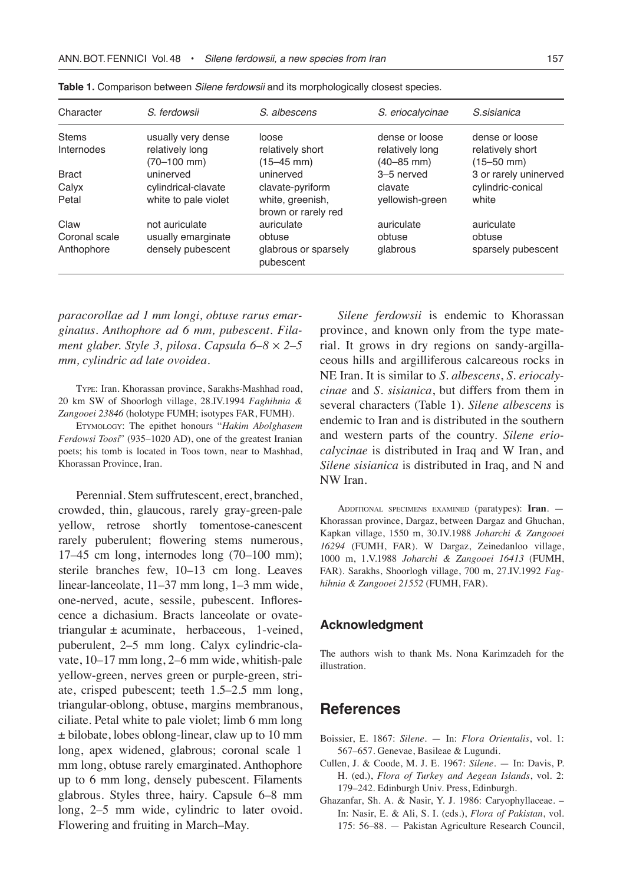| Character     | S. ferdowsii         | S. albescens                            | S. eriocalycinae | S. sisianica<br>dense or loose |  |
|---------------|----------------------|-----------------------------------------|------------------|--------------------------------|--|
| <b>Stems</b>  | usually very dense   | loose                                   | dense or loose   |                                |  |
| Internodes    | relatively long      | relatively short                        | relatively long  | relatively short               |  |
|               | $(70-100$ mm)        | $(15-45$ mm)                            | $(40 - 85$ mm)   | $(15 - 50$ mm)                 |  |
| <b>Bract</b>  | uninerved            | uninerved                               | 3-5 nerved       | 3 or rarely uninerved          |  |
| Calyx         | cylindrical-clavate  | clavate-pyriform                        | clavate          | cylindric-conical              |  |
| Petal         | white to pale violet | white, greenish,<br>brown or rarely red | yellowish-green  | white                          |  |
| Claw          | not auriculate       | auriculate                              | auriculate       | auriculate                     |  |
| Coronal scale | usually emarginate   | obtuse                                  | obtuse           | obtuse                         |  |
| Anthophore    | densely pubescent    | glabrous or sparsely<br>pubescent       | glabrous         | sparsely pubescent             |  |

| Table 1. Comparison between Silene ferdowsii and its morphologically closest species. |  |  |  |  |  |
|---------------------------------------------------------------------------------------|--|--|--|--|--|
|---------------------------------------------------------------------------------------|--|--|--|--|--|

*paracorollae ad 1 mm longi, obtuse rarus emarginatus. Anthophore ad 6 mm, pubescent. Filament glaber. Style 3, pilosa. Capsula 6–8* ¥ *2–5 mm, cylindric ad late ovoidea.*

Type: Iran. Khorassan province, Sarakhs-Mashhad road, 20 km SW of Shoorlogh village, 28.IV.1994 *Faghihnia & Zangooei 23846* (holotype FUMH; isotypes FAR, FUMH).

Etymology: The epithet honours "*Hakim Abolghasem Ferdowsi Toosi*" (935–1020 AD), one of the greatest Iranian poets; his tomb is located in Toos town, near to Mashhad, Khorassan Province, Iran.

Perennial. Stem suffrutescent, erect, branched, crowded, thin, glaucous, rarely gray-green-pale yellow, retrose shortly tomentose-canescent rarely puberulent; flowering stems numerous, 17–45 cm long, internodes long (70–100 mm); sterile branches few, 10–13 cm long. Leaves linear-lanceolate, 11–37 mm long, 1–3 mm wide, one-nerved, acute, sessile, pubescent. Inflorescence a dichasium. Bracts lanceolate or ovatetriangular  $\pm$  acuminate, herbaceous, 1-veined, puberulent, 2–5 mm long. Calyx cylindric-clavate, 10–17 mm long, 2–6 mm wide, whitish-pale yellow-green, nerves green or purple-green, striate, crisped pubescent; teeth 1.5–2.5 mm long, triangular-oblong, obtuse, margins membranous, ciliate. Petal white to pale violet; limb 6 mm long ± bilobate, lobes oblong-linear, claw up to 10 mm long, apex widened, glabrous; coronal scale 1 mm long, obtuse rarely emarginated. Anthophore up to 6 mm long, densely pubescent. Filaments glabrous. Styles three, hairy. Capsule 6–8 mm long, 2–5 mm wide, cylindric to later ovoid. Flowering and fruiting in March–May.

*Silene ferdowsii* is endemic to Khorassan province, and known only from the type material. It grows in dry regions on sandy-argillaceous hills and argilliferous calcareous rocks in NE Iran. It is similar to *S. albescens*, *S. eriocalycinae* and *S. sisianica*, but differs from them in several characters (Table 1). *Silene albescens* is endemic to Iran and is distributed in the southern and western parts of the country. *Silene eriocalycinae* is distributed in Iraq and W Iran, and *Silene sisianica* is distributed in Iraq, and N and NW Iran.

Additional specimens examined (paratypes): **Iran**. — Khorassan province, Dargaz, between Dargaz and Ghuchan, Kapkan village, 1550 m, 30.IV.1988 *Joharchi & Zangooei 16294* (FUMH, FAR). W Dargaz, Zeinedanloo village, 1000 m, 1.V.1988 *Joharchi & Zangooei 16413* (FUMH, FAR). Sarakhs, Shoorlogh village, 700 m, 27.IV.1992 *Faghihnia & Zangooei 21552* (FUMH, FAR).

## **Acknowledgment**

The authors wish to thank Ms. Nona Karimzadeh for the illustration.

## **References**

- Boissier, E. 1867: *Silene*. In: *Flora Orientalis*, vol. 1: 567–657. Genevae, Basileae & Lugundi.
- Cullen, J. & Coode, M. J. E. 1967: *Silene*. In: Davis, P. H. (ed.), *Flora of Turkey and Aegean Islands*, vol. 2: 179–242. Edinburgh Univ. Press, Edinburgh.
- Ghazanfar, Sh. A. & Nasir, Y. J. 1986: Caryophyllaceae. In: Nasir, E. & Ali, S. I. (eds.), *Flora of Pakistan*, vol. 175: 56–88. — Pakistan Agriculture Research Council,